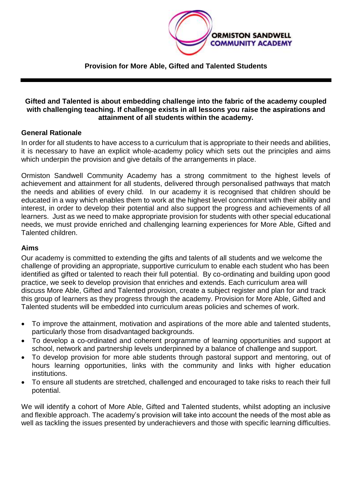

**Provision for More Able, Gifted and Talented Students**

#### **Gifted and Talented is about embedding challenge into the fabric of the academy coupled with challenging teaching. If challenge exists in all lessons you raise the aspirations and attainment of all students within the academy.**

## **General Rationale**

In order for all students to have access to a curriculum that is appropriate to their needs and abilities, it is necessary to have an explicit whole-academy policy which sets out the principles and aims which underpin the provision and give details of the arrangements in place.

Ormiston Sandwell Community Academy has a strong commitment to the highest levels of achievement and attainment for all students, delivered through personalised pathways that match the needs and abilities of every child. In our academy it is recognised that children should be educated in a way which enables them to work at the highest level concomitant with their ability and interest, in order to develop their potential and also support the progress and achievements of all learners. Just as we need to make appropriate provision for students with other special educational needs, we must provide enriched and challenging learning experiences for More Able, Gifted and Talented children.

#### **Aims**

Our academy is committed to extending the gifts and talents of all students and we welcome the challenge of providing an appropriate, supportive curriculum to enable each student who has been identified as gifted or talented to reach their full potential. By co-ordinating and building upon good practice, we seek to develop provision that enriches and extends. Each curriculum area will discuss More Able, Gifted and Talented provision, create a subject register and plan for and track this group of learners as they progress through the academy. Provision for More Able, Gifted and Talented students will be embedded into curriculum areas policies and schemes of work.

- To improve the attainment, motivation and aspirations of the more able and talented students, particularly those from disadvantaged backgrounds.
- To develop a co-ordinated and coherent programme of learning opportunities and support at school, network and partnership levels underpinned by a balance of challenge and support.
- To develop provision for more able students through pastoral support and mentoring, out of hours learning opportunities, links with the community and links with higher education institutions.
- To ensure all students are stretched, challenged and encouraged to take risks to reach their full potential.

We will identify a cohort of More Able, Gifted and Talented students, whilst adopting an inclusive and flexible approach. The academy's provision will take into account the needs of the most able as well as tackling the issues presented by underachievers and those with specific learning difficulties.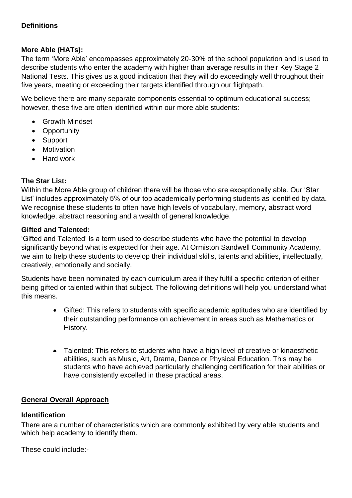## **Definitions**

## **More Able (HATs):**

The term 'More Able' encompasses approximately 20-30% of the school population and is used to describe students who enter the academy with higher than average results in their Key Stage 2 National Tests. This gives us a good indication that they will do exceedingly well throughout their five years, meeting or exceeding their targets identified through our flightpath.

We believe there are many separate components essential to optimum educational success; however, these five are often identified within our more able students:

- Growth Mindset
- Opportunity
- Support
- Motivation
- Hard work

## **The Star List:**

Within the More Able group of children there will be those who are exceptionally able. Our 'Star List' includes approximately 5% of our top academically performing students as identified by data. We recognise these students to often have high levels of vocabulary, memory, abstract word knowledge, abstract reasoning and a wealth of general knowledge.

## **Gifted and Talented:**

'Gifted and Talented' is a term used to describe students who have the potential to develop significantly beyond what is expected for their age. At Ormiston Sandwell Community Academy, we aim to help these students to develop their individual skills, talents and abilities, intellectually, creatively, emotionally and socially.

Students have been nominated by each curriculum area if they fulfil a specific criterion of either being gifted or talented within that subject. The following definitions will help you understand what this means.

- Gifted: This refers to students with specific academic aptitudes who are identified by their outstanding performance on achievement in areas such as Mathematics or History.
- Talented: This refers to students who have a high level of creative or kinaesthetic abilities, such as Music, Art, Drama, Dance or Physical Education. This may be students who have achieved particularly challenging certification for their abilities or have consistently excelled in these practical areas.

#### **General Overall Approach**

#### **Identification**

There are a number of characteristics which are commonly exhibited by very able students and which help academy to identify them.

These could include:-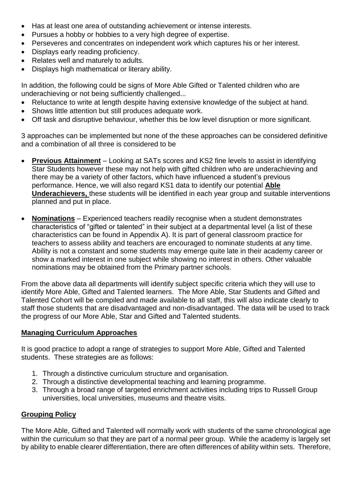- Has at least one area of outstanding achievement or intense interests.
- Pursues a hobby or hobbies to a very high degree of expertise.
- Perseveres and concentrates on independent work which captures his or her interest.
- Displays early reading proficiency.
- Relates well and maturely to adults.
- Displays high mathematical or literary ability.

In addition, the following could be signs of More Able Gifted or Talented children who are underachieving or not being sufficiently challenged...

- Reluctance to write at length despite having extensive knowledge of the subject at hand.
- Shows little attention but still produces adequate work.
- Off task and disruptive behaviour, whether this be low level disruption or more significant.

3 approaches can be implemented but none of the these approaches can be considered definitive and a combination of all three is considered to be

- **Previous Attainment** Looking at SATs scores and KS2 fine levels to assist in identifying Star Students however these may not help with gifted children who are underachieving and there may be a variety of other factors, which have influenced a student's previous performance. Hence, we will also regard KS1 data to identify our potential **Able Underachievers,** these students will be identified in each year group and suitable interventions planned and put in place.
- **Nominations** Experienced teachers readily recognise when a student demonstrates characteristics of "gifted or talented" in their subject at a departmental level (a list of these characteristics can be found in Appendix A). It is part of general classroom practice for teachers to assess ability and teachers are encouraged to nominate students at any time. Ability is not a constant and some students may emerge quite late in their academy career or show a marked interest in one subject while showing no interest in others. Other valuable nominations may be obtained from the Primary partner schools.

From the above data all departments will identify subject specific criteria which they will use to identify More Able, Gifted and Talented learners. The More Able, Star Students and Gifted and Talented Cohort will be compiled and made available to all staff, this will also indicate clearly to staff those students that are disadvantaged and non-disadvantaged. The data will be used to track the progress of our More Able, Star and Gifted and Talented students.

## **Managing Curriculum Approaches**

It is good practice to adopt a range of strategies to support More Able, Gifted and Talented students. These strategies are as follows:

- 1. Through a distinctive curriculum structure and organisation.
- 2. Through a distinctive developmental teaching and learning programme.
- 3. Through a broad range of targeted enrichment activities including trips to Russell Group universities, local universities, museums and theatre visits.

## **Grouping Policy**

The More Able, Gifted and Talented will normally work with students of the same chronological age within the curriculum so that they are part of a normal peer group. While the academy is largely set by ability to enable clearer differentiation, there are often differences of ability within sets. Therefore,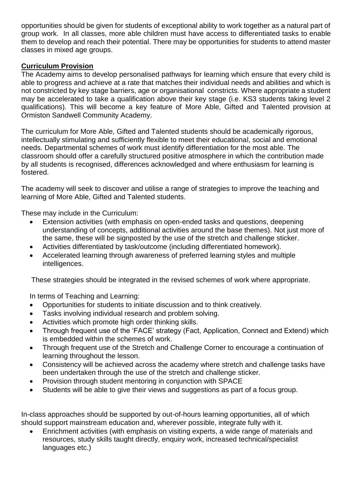opportunities should be given for students of exceptional ability to work together as a natural part of group work. In all classes, more able children must have access to differentiated tasks to enable them to develop and reach their potential. There may be opportunities for students to attend master classes in mixed age groups.

## **Curriculum Provision**

The Academy aims to develop personalised pathways for learning which ensure that every child is able to progress and achieve at a rate that matches their individual needs and abilities and which is not constricted by key stage barriers, age or organisational constricts. Where appropriate a student may be accelerated to take a qualification above their key stage (i.e. KS3 students taking level 2 qualifications). This will become a key feature of More Able, Gifted and Talented provision at Ormiston Sandwell Community Academy.

The curriculum for More Able, Gifted and Talented students should be academically rigorous, intellectually stimulating and sufficiently flexible to meet their educational, social and emotional needs. Departmental schemes of work must identify differentiation for the most able. The classroom should offer a carefully structured positive atmosphere in which the contribution made by all students is recognised, differences acknowledged and where enthusiasm for learning is fostered.

The academy will seek to discover and utilise a range of strategies to improve the teaching and learning of More Able, Gifted and Talented students.

These may include in the Curriculum:

- Extension activities (with emphasis on open-ended tasks and questions, deepening understanding of concepts, additional activities around the base themes). Not just more of the same, these will be signposted by the use of the stretch and challenge sticker.
- Activities differentiated by task/outcome (including differentiated homework).
- Accelerated learning through awareness of preferred learning styles and multiple intelligences.

These strategies should be integrated in the revised schemes of work where appropriate.

In terms of Teaching and Learning:

- Opportunities for students to initiate discussion and to think creatively.
- Tasks involving individual research and problem solving.
- Activities which promote high order thinking skills.
- Through frequent use of the 'FACE' strategy (Fact, Application, Connect and Extend) which is embedded within the schemes of work.
- Through frequent use of the Stretch and Challenge Corner to encourage a continuation of learning throughout the lesson.
- Consistency will be achieved across the academy where stretch and challenge tasks have been undertaken through the use of the stretch and challenge sticker.
- Provision through student mentoring in conjunction with SPACE
- Students will be able to give their views and suggestions as part of a focus group.

In-class approaches should be supported by out-of-hours learning opportunities, all of which should support mainstream education and, wherever possible, integrate fully with it.

 Enrichment activities (with emphasis on visiting experts, a wide range of materials and resources, study skills taught directly, enquiry work, increased technical/specialist languages etc.)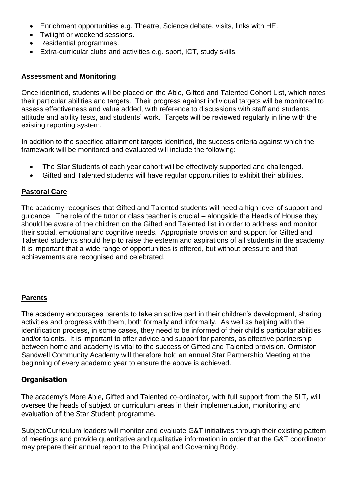- Enrichment opportunities e.g. Theatre, Science debate, visits, links with HE.
- Twilight or weekend sessions.
- Residential programmes.
- Extra-curricular clubs and activities e.g. sport, ICT, study skills.

### **Assessment and Monitoring**

Once identified, students will be placed on the Able, Gifted and Talented Cohort List, which notes their particular abilities and targets. Their progress against individual targets will be monitored to assess effectiveness and value added, with reference to discussions with staff and students, attitude and ability tests, and students' work. Targets will be reviewed regularly in line with the existing reporting system.

In addition to the specified attainment targets identified, the success criteria against which the framework will be monitored and evaluated will include the following:

- The Star Students of each year cohort will be effectively supported and challenged.
- Gifted and Talented students will have regular opportunities to exhibit their abilities.

## **Pastoral Care**

The academy recognises that Gifted and Talented students will need a high level of support and guidance. The role of the tutor or class teacher is crucial – alongside the Heads of House they should be aware of the children on the Gifted and Talented list in order to address and monitor their social, emotional and cognitive needs. Appropriate provision and support for Gifted and Talented students should help to raise the esteem and aspirations of all students in the academy. It is important that a wide range of opportunities is offered, but without pressure and that achievements are recognised and celebrated.

## **Parents**

The academy encourages parents to take an active part in their children's development, sharing activities and progress with them, both formally and informally. As well as helping with the identification process, in some cases, they need to be informed of their child's particular abilities and/or talents. It is important to offer advice and support for parents, as effective partnership between home and academy is vital to the success of Gifted and Talented provision. Ormiston Sandwell Community Academy will therefore hold an annual Star Partnership Meeting at the beginning of every academic year to ensure the above is achieved.

## **Organisation**

The academy's More Able, Gifted and Talented co-ordinator, with full support from the SLT, will oversee the heads of subject or curriculum areas in their implementation, monitoring and evaluation of the Star Student programme.

Subject/Curriculum leaders will monitor and evaluate G&T initiatives through their existing pattern of meetings and provide quantitative and qualitative information in order that the G&T coordinator may prepare their annual report to the Principal and Governing Body.